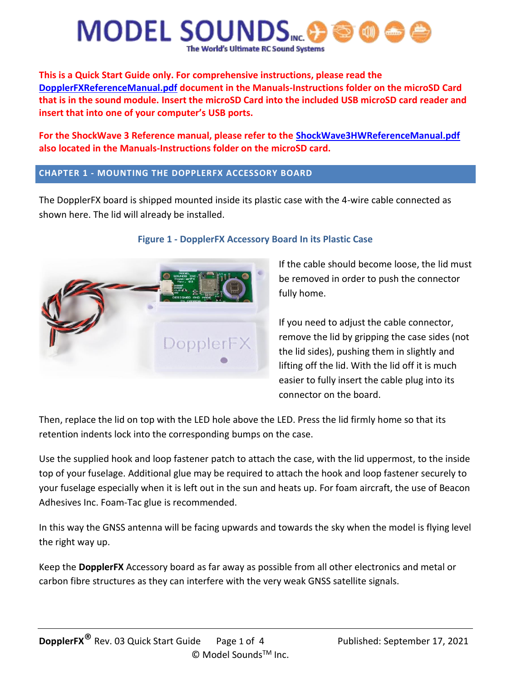

**This is a Quick Start Guide only. For comprehensive instructions, please read the DopplerFXReferenceManual.pdf document in the Manuals-Instructions folder on the microSD Card that is in the sound module. Insert the microSD Card into the included USB microSD card reader and insert that into one of your computer's USB ports.**

**For the ShockWave 3 Reference manual, please refer to the ShockWave3HWReferenceManual.pdf also located in the Manuals-Instructions folder on the microSD card.**

#### **CHAPTER 1 - MOUNTING THE DOPPLERFX ACCESSORY BOARD**

The DopplerFX board is shipped mounted inside its plastic case with the 4-wire cable connected as shown here. The lid will already be installed.



#### **Figure 1 - DopplerFX Accessory Board In its Plastic Case**

If the cable should become loose, the lid must be removed in order to push the connector fully home.

If you need to adjust the cable connector, remove the lid by gripping the case sides (not the lid sides), pushing them in slightly and lifting off the lid. With the lid off it is much easier to fully insert the cable plug into its connector on the board.

Then, replace the lid on top with the LED hole above the LED. Press the lid firmly home so that its retention indents lock into the corresponding bumps on the case.

Use the supplied hook and loop fastener patch to attach the case, with the lid uppermost, to the inside top of your fuselage. Additional glue may be required to attach the hook and loop fastener securely to your fuselage especially when it is left out in the sun and heats up. For foam aircraft, the use of Beacon Adhesives Inc. Foam-Tac glue is recommended.

In this way the GNSS antenna will be facing upwards and towards the sky when the model is flying level the right way up.

Keep the **DopplerFX** Accessory board as far away as possible from all other electronics and metal or carbon fibre structures as they can interfere with the very weak GNSS satellite signals.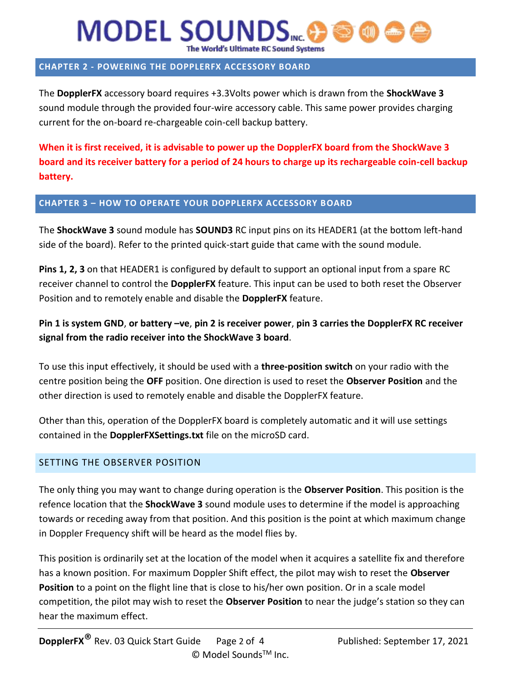# **MODEL SOUNDS** The World's Ultimate RC Sound Systems

### **CHAPTER 2 - POWERING THE DOPPLERFX ACCESSORY BOARD**

The **DopplerFX** accessory board requires +3.3Volts power which is drawn from the **ShockWave 3** sound module through the provided four-wire accessory cable. This same power provides charging current for the on-board re-chargeable coin-cell backup battery.

**When it is first received, it is advisable to power up the DopplerFX board from the ShockWave 3 board and its receiver battery for a period of 24 hours to charge up its rechargeable coin-cell backup battery.**

#### **CHAPTER 3 – HOW TO OPERATE YOUR DOPPLERFX ACCESSORY BOARD**

The **ShockWave 3** sound module has **SOUND3** RC input pins on its HEADER1 (at the bottom left-hand side of the board). Refer to the printed quick-start guide that came with the sound module.

**Pins 1, 2, 3** on that HEADER1 is configured by default to support an optional input from a spare RC receiver channel to control the **DopplerFX** feature. This input can be used to both reset the Observer Position and to remotely enable and disable the **DopplerFX** feature.

**Pin 1 is system GND**, **or battery –ve**, **pin 2 is receiver power**, **pin 3 carries the DopplerFX RC receiver signal from the radio receiver into the ShockWave 3 board**.

To use this input effectively, it should be used with a **three-position switch** on your radio with the centre position being the **OFF** position. One direction is used to reset the **Observer Position** and the other direction is used to remotely enable and disable the DopplerFX feature.

Other than this, operation of the DopplerFX board is completely automatic and it will use settings contained in the **DopplerFXSettings.txt** file on the microSD card.

#### SETTING THE OBSERVER POSITION

The only thing you may want to change during operation is the **Observer Position**. This position is the refence location that the **ShockWave 3** sound module uses to determine if the model is approaching towards or receding away from that position. And this position is the point at which maximum change in Doppler Frequency shift will be heard as the model flies by.

This position is ordinarily set at the location of the model when it acquires a satellite fix and therefore has a known position. For maximum Doppler Shift effect, the pilot may wish to reset the **Observer Position** to a point on the flight line that is close to his/her own position. Or in a scale model competition, the pilot may wish to reset the **Observer Position** to near the judge's station so they can hear the maximum effect.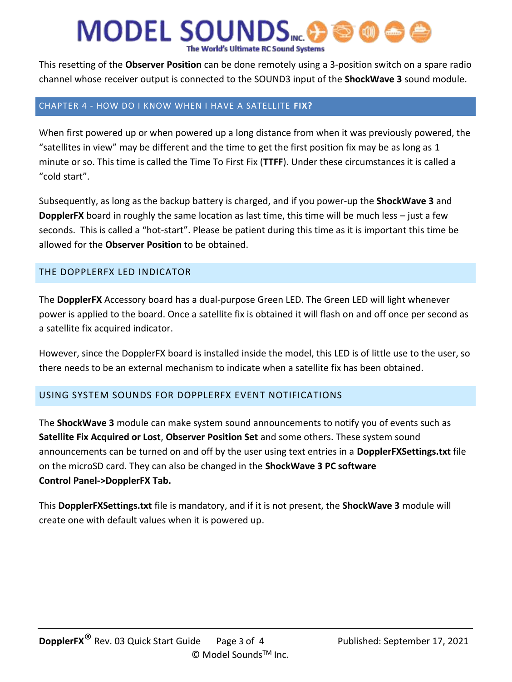# **MODEL SOUNDS** The World's Ultimate RC Sound Systems

This resetting of the **Observer Position** can be done remotely using a 3-position switch on a spare radio channel whose receiver output is connected to the SOUND3 input of the **ShockWave 3** sound module.

#### CHAPTER 4 - HOW DO I KNOW WHEN I HAVE A SATELLITE **FIX?**

When first powered up or when powered up a long distance from when it was previously powered, the "satellites in view" may be different and the time to get the first position fix may be as long as 1 minute or so. This time is called the Time To First Fix (**TTFF**). Under these circumstances it is called a "cold start".

Subsequently, as long as the backup battery is charged, and if you power-up the **ShockWave 3** and **DopplerFX** board in roughly the same location as last time, this time will be much less – just a few seconds. This is called a "hot-start". Please be patient during this time as it is important this time be allowed for the **Observer Position** to be obtained.

### THE DOPPLERFX LED INDICATOR

The **DopplerFX** Accessory board has a dual-purpose Green LED. The Green LED will light whenever power is applied to the board. Once a satellite fix is obtained it will flash on and off once per second as a satellite fix acquired indicator.

However, since the DopplerFX board is installed inside the model, this LED is of little use to the user, so there needs to be an external mechanism to indicate when a satellite fix has been obtained.

#### USING SYSTEM SOUNDS FOR DOPPLERFX EVENT NOTIFICATIONS

The **ShockWave 3** module can make system sound announcements to notify you of events such as **Satellite Fix Acquired or Lost**, **Observer Position Set** and some others. These system sound announcements can be turned on and off by the user using text entries in a **DopplerFXSettings.txt** file on the microSD card. They can also be changed in the **ShockWave 3 PC software Control Panel->DopplerFX Tab.**

This **DopplerFXSettings.txt** file is mandatory, and if it is not present, the **ShockWave 3** module will create one with default values when it is powered up.